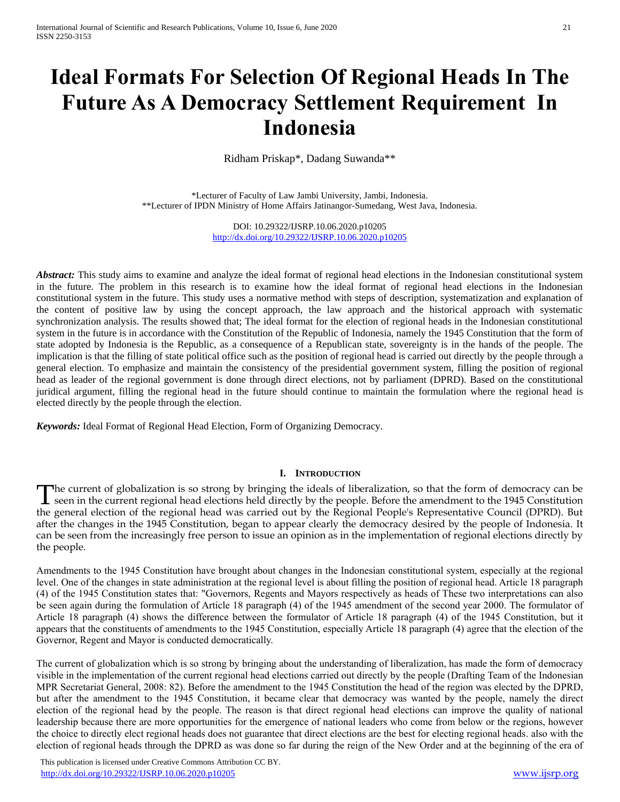# **Ideal Formats For Selection Of Regional Heads In The Future As A Democracy Settlement Requirement In Indonesia**

Ridham Priskap\*, Dadang Suwanda\*\*

\*Lecturer of Faculty of Law Jambi University, Jambi, Indonesia. \*\*Lecturer of IPDN Ministry of Home Affairs Jatinangor-Sumedang, West Java, Indonesia.

> DOI: 10.29322/IJSRP.10.06.2020.p10205 <http://dx.doi.org/10.29322/IJSRP.10.06.2020.p10205>

*Abstract:* This study aims to examine and analyze the ideal format of regional head elections in the Indonesian constitutional system in the future. The problem in this research is to examine how the ideal format of regional head elections in the Indonesian constitutional system in the future. This study uses a normative method with steps of description, systematization and explanation of the content of positive law by using the concept approach, the law approach and the historical approach with systematic synchronization analysis. The results showed that; The ideal format for the election of regional heads in the Indonesian constitutional system in the future is in accordance with the Constitution of the Republic of Indonesia, namely the 1945 Constitution that the form of state adopted by Indonesia is the Republic, as a consequence of a Republican state, sovereignty is in the hands of the people. The implication is that the filling of state political office such as the position of regional head is carried out directly by the people through a general election. To emphasize and maintain the consistency of the presidential government system, filling the position of regional head as leader of the regional government is done through direct elections, not by parliament (DPRD). Based on the constitutional juridical argument, filling the regional head in the future should continue to maintain the formulation where the regional head is elected directly by the people through the election.

*Keywords:* Ideal Format of Regional Head Election, Form of Organizing Democracy.

## **I. INTRODUCTION**

he current of globalization is so strong by bringing the ideals of liberalization, so that the form of democracy can be The current of globalization is so strong by bringing the ideals of liberalization, so that the form of democracy can be seen in the current regional head elections held directly by the people. Before the amendment to the the general election of the regional head was carried out by the Regional People's Representative Council (DPRD). But after the changes in the 1945 Constitution, began to appear clearly the democracy desired by the people of Indonesia. It can be seen from the increasingly free person to issue an opinion as in the implementation of regional elections directly by the people.

Amendments to the 1945 Constitution have brought about changes in the Indonesian constitutional system, especially at the regional level. One of the changes in state administration at the regional level is about filling the position of regional head. Article 18 paragraph (4) of the 1945 Constitution states that: "Governors, Regents and Mayors respectively as heads of These two interpretations can also be seen again during the formulation of Article 18 paragraph (4) of the 1945 amendment of the second year 2000. The formulator of Article 18 paragraph (4) shows the difference between the formulator of Article 18 paragraph (4) of the 1945 Constitution, but it appears that the constituents of amendments to the 1945 Constitution, especially Article 18 paragraph (4) agree that the election of the Governor, Regent and Mayor is conducted democratically.

The current of globalization which is so strong by bringing about the understanding of liberalization, has made the form of democracy visible in the implementation of the current regional head elections carried out directly by the people (Drafting Team of the Indonesian MPR Secretariat General, 2008: 82). Before the amendment to the 1945 Constitution the head of the region was elected by the DPRD, but after the amendment to the 1945 Constitution, it became clear that democracy was wanted by the people, namely the direct election of the regional head by the people. The reason is that direct regional head elections can improve the quality of national leadership because there are more opportunities for the emergence of national leaders who come from below or the regions, however the choice to directly elect regional heads does not guarantee that direct elections are the best for electing regional heads. also with the election of regional heads through the DPRD as was done so far during the reign of the New Order and at the beginning of the era of

 This publication is licensed under Creative Commons Attribution CC BY. <http://dx.doi.org/10.29322/IJSRP.10.06.2020.p10205> [www.ijsrp.org](http://ijsrp.org/)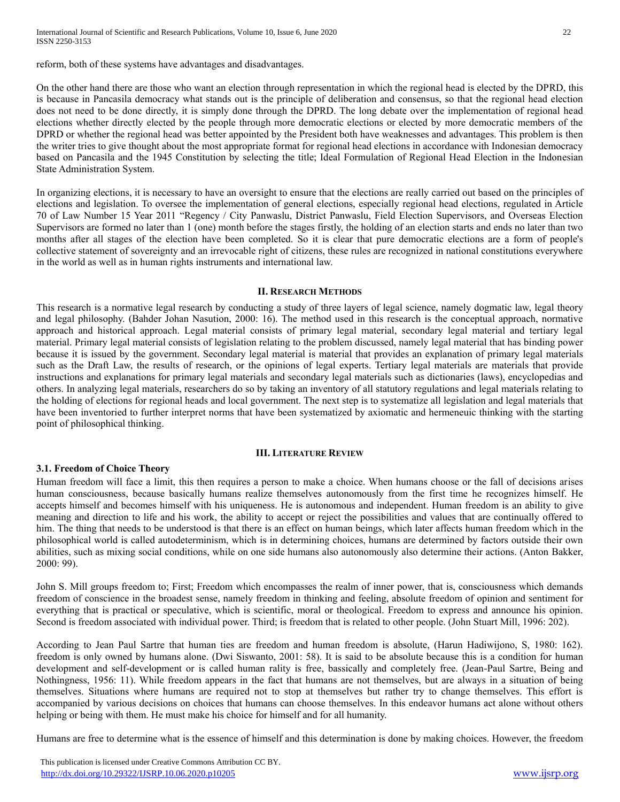reform, both of these systems have advantages and disadvantages.

On the other hand there are those who want an election through representation in which the regional head is elected by the DPRD, this is because in Pancasila democracy what stands out is the principle of deliberation and consensus, so that the regional head election does not need to be done directly, it is simply done through the DPRD. The long debate over the implementation of regional head elections whether directly elected by the people through more democratic elections or elected by more democratic members of the DPRD or whether the regional head was better appointed by the President both have weaknesses and advantages. This problem is then the writer tries to give thought about the most appropriate format for regional head elections in accordance with Indonesian democracy based on Pancasila and the 1945 Constitution by selecting the title; Ideal Formulation of Regional Head Election in the Indonesian State Administration System.

In organizing elections, it is necessary to have an oversight to ensure that the elections are really carried out based on the principles of elections and legislation. To oversee the implementation of general elections, especially regional head elections, regulated in Article 70 of Law Number 15 Year 2011 "Regency / City Panwaslu, District Panwaslu, Field Election Supervisors, and Overseas Election Supervisors are formed no later than 1 (one) month before the stages firstly, the holding of an election starts and ends no later than two months after all stages of the election have been completed. So it is clear that pure democratic elections are a form of people's collective statement of sovereignty and an irrevocable right of citizens, these rules are recognized in national constitutions everywhere in the world as well as in human rights instruments and international law.

#### **II. RESEARCH METHODS**

This research is a normative legal research by conducting a study of three layers of legal science, namely dogmatic law, legal theory and legal philosophy. (Bahder Johan Nasution, 2000: 16). The method used in this research is the conceptual approach, normative approach and historical approach. Legal material consists of primary legal material, secondary legal material and tertiary legal material. Primary legal material consists of legislation relating to the problem discussed, namely legal material that has binding power because it is issued by the government. Secondary legal material is material that provides an explanation of primary legal materials such as the Draft Law, the results of research, or the opinions of legal experts. Tertiary legal materials are materials that provide instructions and explanations for primary legal materials and secondary legal materials such as dictionaries (laws), encyclopedias and others. In analyzing legal materials, researchers do so by taking an inventory of all statutory regulations and legal materials relating to the holding of elections for regional heads and local government. The next step is to systematize all legislation and legal materials that have been inventoried to further interpret norms that have been systematized by axiomatic and hermeneuic thinking with the starting point of philosophical thinking.

## **III. LITERATURE REVIEW**

## **3.1. Freedom of Choice Theory**

Human freedom will face a limit, this then requires a person to make a choice. When humans choose or the fall of decisions arises human consciousness, because basically humans realize themselves autonomously from the first time he recognizes himself. He accepts himself and becomes himself with his uniqueness. He is autonomous and independent. Human freedom is an ability to give meaning and direction to life and his work, the ability to accept or reject the possibilities and values that are continually offered to him. The thing that needs to be understood is that there is an effect on human beings, which later affects human freedom which in the philosophical world is called autodeterminism, which is in determining choices, humans are determined by factors outside their own abilities, such as mixing social conditions, while on one side humans also autonomously also determine their actions. (Anton Bakker, 2000: 99).

John S. Mill groups freedom to; First; Freedom which encompasses the realm of inner power, that is, consciousness which demands freedom of conscience in the broadest sense, namely freedom in thinking and feeling, absolute freedom of opinion and sentiment for everything that is practical or speculative, which is scientific, moral or theological. Freedom to express and announce his opinion. Second is freedom associated with individual power. Third; is freedom that is related to other people. (John Stuart Mill, 1996: 202).

According to Jean Paul Sartre that human ties are freedom and human freedom is absolute, (Harun Hadiwijono, S, 1980: 162). freedom is only owned by humans alone. (Dwi Siswanto, 2001: 58). It is said to be absolute because this is a condition for human development and self-development or is called human rality is free, bassically and completely free. (Jean-Paul Sartre, Being and Nothingness, 1956: 11). While freedom appears in the fact that humans are not themselves, but are always in a situation of being themselves. Situations where humans are required not to stop at themselves but rather try to change themselves. This effort is accompanied by various decisions on choices that humans can choose themselves. In this endeavor humans act alone without others helping or being with them. He must make his choice for himself and for all humanity.

Humans are free to determine what is the essence of himself and this determination is done by making choices. However, the freedom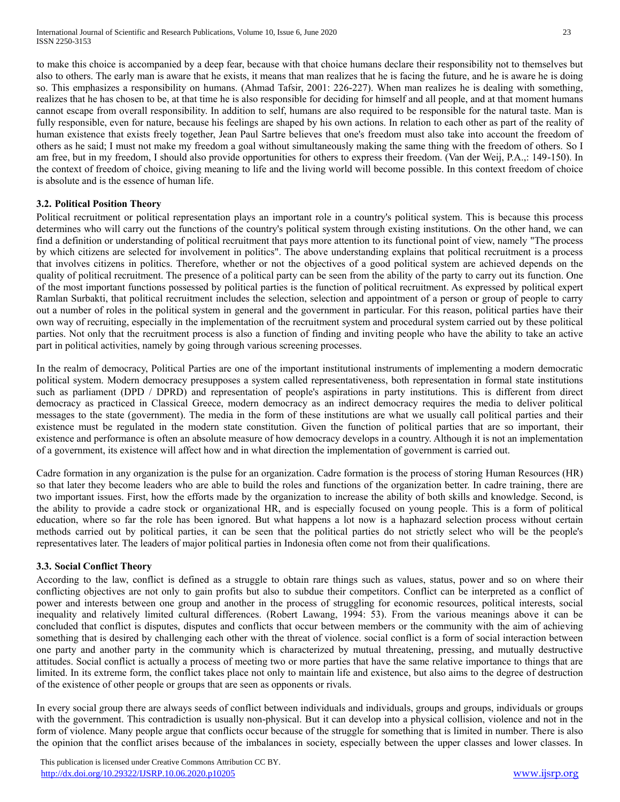to make this choice is accompanied by a deep fear, because with that choice humans declare their responsibility not to themselves but also to others. The early man is aware that he exists, it means that man realizes that he is facing the future, and he is aware he is doing so. This emphasizes a responsibility on humans. (Ahmad Tafsir, 2001: 226-227). When man realizes he is dealing with something, realizes that he has chosen to be, at that time he is also responsible for deciding for himself and all people, and at that moment humans cannot escape from overall responsibility. In addition to self, humans are also required to be responsible for the natural taste. Man is fully responsible, even for nature, because his feelings are shaped by his own actions. In relation to each other as part of the reality of human existence that exists freely together, Jean Paul Sartre believes that one's freedom must also take into account the freedom of others as he said; I must not make my freedom a goal without simultaneously making the same thing with the freedom of others. So I am free, but in my freedom, I should also provide opportunities for others to express their freedom. (Van der Weij, P.A.,: 149-150). In the context of freedom of choice, giving meaning to life and the living world will become possible. In this context freedom of choice is absolute and is the essence of human life.

## **3.2. Political Position Theory**

Political recruitment or political representation plays an important role in a country's political system. This is because this process determines who will carry out the functions of the country's political system through existing institutions. On the other hand, we can find a definition or understanding of political recruitment that pays more attention to its functional point of view, namely "The process by which citizens are selected for involvement in politics". The above understanding explains that political recruitment is a process that involves citizens in politics. Therefore, whether or not the objectives of a good political system are achieved depends on the quality of political recruitment. The presence of a political party can be seen from the ability of the party to carry out its function. One of the most important functions possessed by political parties is the function of political recruitment. As expressed by political expert Ramlan Surbakti, that political recruitment includes the selection, selection and appointment of a person or group of people to carry out a number of roles in the political system in general and the government in particular. For this reason, political parties have their own way of recruiting, especially in the implementation of the recruitment system and procedural system carried out by these political parties. Not only that the recruitment process is also a function of finding and inviting people who have the ability to take an active part in political activities, namely by going through various screening processes.

In the realm of democracy, Political Parties are one of the important institutional instruments of implementing a modern democratic political system. Modern democracy presupposes a system called representativeness, both representation in formal state institutions such as parliament (DPD / DPRD) and representation of people's aspirations in party institutions. This is different from direct democracy as practiced in Classical Greece, modern democracy as an indirect democracy requires the media to deliver political messages to the state (government). The media in the form of these institutions are what we usually call political parties and their existence must be regulated in the modern state constitution. Given the function of political parties that are so important, their existence and performance is often an absolute measure of how democracy develops in a country. Although it is not an implementation of a government, its existence will affect how and in what direction the implementation of government is carried out.

Cadre formation in any organization is the pulse for an organization. Cadre formation is the process of storing Human Resources (HR) so that later they become leaders who are able to build the roles and functions of the organization better. In cadre training, there are two important issues. First, how the efforts made by the organization to increase the ability of both skills and knowledge. Second, is the ability to provide a cadre stock or organizational HR, and is especially focused on young people. This is a form of political education, where so far the role has been ignored. But what happens a lot now is a haphazard selection process without certain methods carried out by political parties, it can be seen that the political parties do not strictly select who will be the people's representatives later. The leaders of major political parties in Indonesia often come not from their qualifications.

## **3.3. Social Conflict Theory**

According to the law, conflict is defined as a struggle to obtain rare things such as values, status, power and so on where their conflicting objectives are not only to gain profits but also to subdue their competitors. Conflict can be interpreted as a conflict of power and interests between one group and another in the process of struggling for economic resources, political interests, social inequality and relatively limited cultural differences. (Robert Lawang, 1994: 53). From the various meanings above it can be concluded that conflict is disputes, disputes and conflicts that occur between members or the community with the aim of achieving something that is desired by challenging each other with the threat of violence. social conflict is a form of social interaction between one party and another party in the community which is characterized by mutual threatening, pressing, and mutually destructive attitudes. Social conflict is actually a process of meeting two or more parties that have the same relative importance to things that are limited. In its extreme form, the conflict takes place not only to maintain life and existence, but also aims to the degree of destruction of the existence of other people or groups that are seen as opponents or rivals.

In every social group there are always seeds of conflict between individuals and individuals, groups and groups, individuals or groups with the government. This contradiction is usually non-physical. But it can develop into a physical collision, violence and not in the form of violence. Many people argue that conflicts occur because of the struggle for something that is limited in number. There is also the opinion that the conflict arises because of the imbalances in society, especially between the upper classes and lower classes. In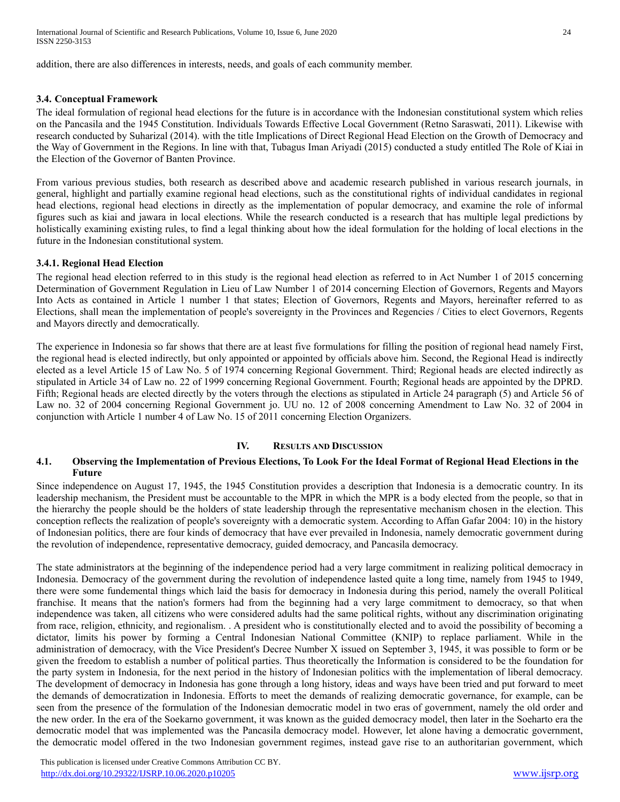addition, there are also differences in interests, needs, and goals of each community member.

## **3.4. Conceptual Framework**

The ideal formulation of regional head elections for the future is in accordance with the Indonesian constitutional system which relies on the Pancasila and the 1945 Constitution. Individuals Towards Effective Local Government (Retno Saraswati, 2011). Likewise with research conducted by Suharizal (2014). with the title Implications of Direct Regional Head Election on the Growth of Democracy and the Way of Government in the Regions. In line with that, Tubagus Iman Ariyadi (2015) conducted a study entitled The Role of Kiai in the Election of the Governor of Banten Province.

From various previous studies, both research as described above and academic research published in various research journals, in general, highlight and partially examine regional head elections, such as the constitutional rights of individual candidates in regional head elections, regional head elections in directly as the implementation of popular democracy, and examine the role of informal figures such as kiai and jawara in local elections. While the research conducted is a research that has multiple legal predictions by holistically examining existing rules, to find a legal thinking about how the ideal formulation for the holding of local elections in the future in the Indonesian constitutional system.

#### **3.4.1. Regional Head Election**

The regional head election referred to in this study is the regional head election as referred to in Act Number 1 of 2015 concerning Determination of Government Regulation in Lieu of Law Number 1 of 2014 concerning Election of Governors, Regents and Mayors Into Acts as contained in Article 1 number 1 that states; Election of Governors, Regents and Mayors, hereinafter referred to as Elections, shall mean the implementation of people's sovereignty in the Provinces and Regencies / Cities to elect Governors, Regents and Mayors directly and democratically.

The experience in Indonesia so far shows that there are at least five formulations for filling the position of regional head namely First, the regional head is elected indirectly, but only appointed or appointed by officials above him. Second, the Regional Head is indirectly elected as a level Article 15 of Law No. 5 of 1974 concerning Regional Government. Third; Regional heads are elected indirectly as stipulated in Article 34 of Law no. 22 of 1999 concerning Regional Government. Fourth; Regional heads are appointed by the DPRD. Fifth; Regional heads are elected directly by the voters through the elections as stipulated in Article 24 paragraph (5) and Article 56 of Law no. 32 of 2004 concerning Regional Government jo. UU no. 12 of 2008 concerning Amendment to Law No. 32 of 2004 in conjunction with Article 1 number 4 of Law No. 15 of 2011 concerning Election Organizers.

## **IV. RESULTS AND DISCUSSION**

#### **4.1. Observing the Implementation of Previous Elections, To Look For the Ideal Format of Regional Head Elections in the Future**

Since independence on August 17, 1945, the 1945 Constitution provides a description that Indonesia is a democratic country. In its leadership mechanism, the President must be accountable to the MPR in which the MPR is a body elected from the people, so that in the hierarchy the people should be the holders of state leadership through the representative mechanism chosen in the election. This conception reflects the realization of people's sovereignty with a democratic system. According to Affan Gafar 2004: 10) in the history of Indonesian politics, there are four kinds of democracy that have ever prevailed in Indonesia, namely democratic government during the revolution of independence, representative democracy, guided democracy, and Pancasila democracy.

The state administrators at the beginning of the independence period had a very large commitment in realizing political democracy in Indonesia. Democracy of the government during the revolution of independence lasted quite a long time, namely from 1945 to 1949, there were some fundemental things which laid the basis for democracy in Indonesia during this period, namely the overall Political franchise. It means that the nation's formers had from the beginning had a very large commitment to democracy, so that when independence was taken, all citizens who were considered adults had the same political rights, without any discrimination originating from race, religion, ethnicity, and regionalism. . A president who is constitutionally elected and to avoid the possibility of becoming a dictator, limits his power by forming a Central Indonesian National Committee (KNIP) to replace parliament. While in the administration of democracy, with the Vice President's Decree Number X issued on September 3, 1945, it was possible to form or be given the freedom to establish a number of political parties. Thus theoretically the Information is considered to be the foundation for the party system in Indonesia, for the next period in the history of Indonesian politics with the implementation of liberal democracy. The development of democracy in Indonesia has gone through a long history, ideas and ways have been tried and put forward to meet the demands of democratization in Indonesia. Efforts to meet the demands of realizing democratic governance, for example, can be seen from the presence of the formulation of the Indonesian democratic model in two eras of government, namely the old order and the new order. In the era of the Soekarno government, it was known as the guided democracy model, then later in the Soeharto era the democratic model that was implemented was the Pancasila democracy model. However, let alone having a democratic government, the democratic model offered in the two Indonesian government regimes, instead gave rise to an authoritarian government, which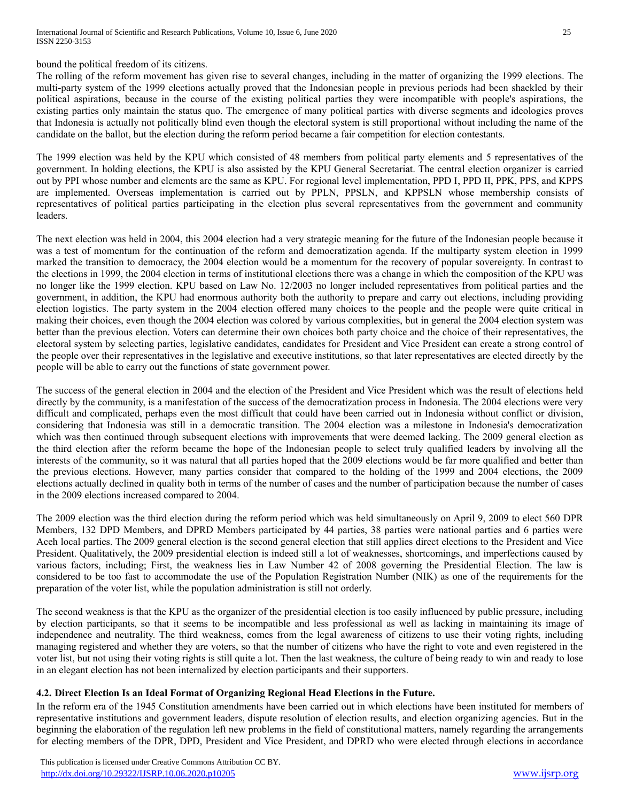bound the political freedom of its citizens.

The rolling of the reform movement has given rise to several changes, including in the matter of organizing the 1999 elections. The multi-party system of the 1999 elections actually proved that the Indonesian people in previous periods had been shackled by their political aspirations, because in the course of the existing political parties they were incompatible with people's aspirations, the existing parties only maintain the status quo. The emergence of many political parties with diverse segments and ideologies proves that Indonesia is actually not politically blind even though the electoral system is still proportional without including the name of the candidate on the ballot, but the election during the reform period became a fair competition for election contestants.

The 1999 election was held by the KPU which consisted of 48 members from political party elements and 5 representatives of the government. In holding elections, the KPU is also assisted by the KPU General Secretariat. The central election organizer is carried out by PPI whose number and elements are the same as KPU. For regional level implementation, PPD I, PPD II, PPK, PPS, and KPPS are implemented. Overseas implementation is carried out by PPLN, PPSLN, and KPPSLN whose membership consists of representatives of political parties participating in the election plus several representatives from the government and community leaders.

The next election was held in 2004, this 2004 election had a very strategic meaning for the future of the Indonesian people because it was a test of momentum for the continuation of the reform and democratization agenda. If the multiparty system election in 1999 marked the transition to democracy, the 2004 election would be a momentum for the recovery of popular sovereignty. In contrast to the elections in 1999, the 2004 election in terms of institutional elections there was a change in which the composition of the KPU was no longer like the 1999 election. KPU based on Law No. 12/2003 no longer included representatives from political parties and the government, in addition, the KPU had enormous authority both the authority to prepare and carry out elections, including providing election logistics. The party system in the 2004 election offered many choices to the people and the people were quite critical in making their choices, even though the 2004 election was colored by various complexities, but in general the 2004 election system was better than the previous election. Voters can determine their own choices both party choice and the choice of their representatives, the electoral system by selecting parties, legislative candidates, candidates for President and Vice President can create a strong control of the people over their representatives in the legislative and executive institutions, so that later representatives are elected directly by the people will be able to carry out the functions of state government power.

The success of the general election in 2004 and the election of the President and Vice President which was the result of elections held directly by the community, is a manifestation of the success of the democratization process in Indonesia. The 2004 elections were very difficult and complicated, perhaps even the most difficult that could have been carried out in Indonesia without conflict or division, considering that Indonesia was still in a democratic transition. The 2004 election was a milestone in Indonesia's democratization which was then continued through subsequent elections with improvements that were deemed lacking. The 2009 general election as the third election after the reform became the hope of the Indonesian people to select truly qualified leaders by involving all the interests of the community, so it was natural that all parties hoped that the 2009 elections would be far more qualified and better than the previous elections. However, many parties consider that compared to the holding of the 1999 and 2004 elections, the 2009 elections actually declined in quality both in terms of the number of cases and the number of participation because the number of cases in the 2009 elections increased compared to 2004.

The 2009 election was the third election during the reform period which was held simultaneously on April 9, 2009 to elect 560 DPR Members, 132 DPD Members, and DPRD Members participated by 44 parties, 38 parties were national parties and 6 parties were Aceh local parties. The 2009 general election is the second general election that still applies direct elections to the President and Vice President. Qualitatively, the 2009 presidential election is indeed still a lot of weaknesses, shortcomings, and imperfections caused by various factors, including; First, the weakness lies in Law Number 42 of 2008 governing the Presidential Election. The law is considered to be too fast to accommodate the use of the Population Registration Number (NIK) as one of the requirements for the preparation of the voter list, while the population administration is still not orderly.

The second weakness is that the KPU as the organizer of the presidential election is too easily influenced by public pressure, including by election participants, so that it seems to be incompatible and less professional as well as lacking in maintaining its image of independence and neutrality. The third weakness, comes from the legal awareness of citizens to use their voting rights, including managing registered and whether they are voters, so that the number of citizens who have the right to vote and even registered in the voter list, but not using their voting rights is still quite a lot. Then the last weakness, the culture of being ready to win and ready to lose in an elegant election has not been internalized by election participants and their supporters.

# **4.2. Direct Election Is an Ideal Format of Organizing Regional Head Elections in the Future.**

In the reform era of the 1945 Constitution amendments have been carried out in which elections have been instituted for members of representative institutions and government leaders, dispute resolution of election results, and election organizing agencies. But in the beginning the elaboration of the regulation left new problems in the field of constitutional matters, namely regarding the arrangements for electing members of the DPR, DPD, President and Vice President, and DPRD who were elected through elections in accordance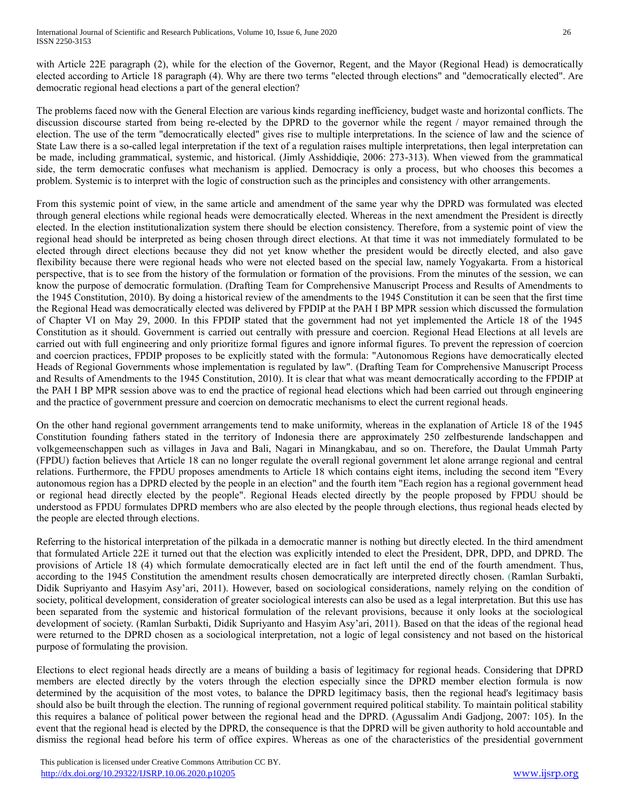with Article 22E paragraph (2), while for the election of the Governor, Regent, and the Mayor (Regional Head) is democratically elected according to Article 18 paragraph (4). Why are there two terms "elected through elections" and "democratically elected". Are democratic regional head elections a part of the general election?

The problems faced now with the General Election are various kinds regarding inefficiency, budget waste and horizontal conflicts. The discussion discourse started from being re-elected by the DPRD to the governor while the regent / mayor remained through the election. The use of the term "democratically elected" gives rise to multiple interpretations. In the science of law and the science of State Law there is a so-called legal interpretation if the text of a regulation raises multiple interpretations, then legal interpretation can be made, including grammatical, systemic, and historical. (Jimly Asshiddiqie, 2006: 273-313). When viewed from the grammatical side, the term democratic confuses what mechanism is applied. Democracy is only a process, but who chooses this becomes a problem. Systemic is to interpret with the logic of construction such as the principles and consistency with other arrangements.

From this systemic point of view, in the same article and amendment of the same year why the DPRD was formulated was elected through general elections while regional heads were democratically elected. Whereas in the next amendment the President is directly elected. In the election institutionalization system there should be election consistency. Therefore, from a systemic point of view the regional head should be interpreted as being chosen through direct elections. At that time it was not immediately formulated to be elected through direct elections because they did not yet know whether the president would be directly elected, and also gave flexibility because there were regional heads who were not elected based on the special law, namely Yogyakarta. From a historical perspective, that is to see from the history of the formulation or formation of the provisions. From the minutes of the session, we can know the purpose of democratic formulation. (Drafting Team for Comprehensive Manuscript Process and Results of Amendments to the 1945 Constitution, 2010). By doing a historical review of the amendments to the 1945 Constitution it can be seen that the first time the Regional Head was democratically elected was delivered by FPDIP at the PAH I BP MPR session which discussed the formulation of Chapter VI on May 29, 2000. In this FPDIP stated that the government had not yet implemented the Article 18 of the 1945 Constitution as it should. Government is carried out centrally with pressure and coercion. Regional Head Elections at all levels are carried out with full engineering and only prioritize formal figures and ignore informal figures. To prevent the repression of coercion and coercion practices, FPDIP proposes to be explicitly stated with the formula: "Autonomous Regions have democratically elected Heads of Regional Governments whose implementation is regulated by law". (Drafting Team for Comprehensive Manuscript Process and Results of Amendments to the 1945 Constitution, 2010). It is clear that what was meant democratically according to the FPDIP at the PAH I BP MPR session above was to end the practice of regional head elections which had been carried out through engineering and the practice of government pressure and coercion on democratic mechanisms to elect the current regional heads.

On the other hand regional government arrangements tend to make uniformity, whereas in the explanation of Article 18 of the 1945 Constitution founding fathers stated in the territory of Indonesia there are approximately 250 zelfbesturende landschappen and volkgemeenschappen such as villages in Java and Bali, Nagari in Minangkabau, and so on. Therefore, the Daulat Ummah Party (FPDU) faction believes that Article 18 can no longer regulate the overall regional government let alone arrange regional and central relations. Furthermore, the FPDU proposes amendments to Article 18 which contains eight items, including the second item "Every autonomous region has a DPRD elected by the people in an election" and the fourth item "Each region has a regional government head or regional head directly elected by the people". Regional Heads elected directly by the people proposed by FPDU should be understood as FPDU formulates DPRD members who are also elected by the people through elections, thus regional heads elected by the people are elected through elections.

Referring to the historical interpretation of the pilkada in a democratic manner is nothing but directly elected. In the third amendment that formulated Article 22E it turned out that the election was explicitly intended to elect the President, DPR, DPD, and DPRD. The provisions of Article 18 (4) which formulate democratically elected are in fact left until the end of the fourth amendment. Thus, according to the 1945 Constitution the amendment results chosen democratically are interpreted directly chosen. (Ramlan Surbakti, Didik Supriyanto and Hasyim Asy'ari, 2011). However, based on sociological considerations, namely relying on the condition of society, political development, consideration of greater sociological interests can also be used as a legal interpretation. But this use has been separated from the systemic and historical formulation of the relevant provisions, because it only looks at the sociological development of society. (Ramlan Surbakti, Didik Supriyanto and Hasyim Asy'ari, 2011). Based on that the ideas of the regional head were returned to the DPRD chosen as a sociological interpretation, not a logic of legal consistency and not based on the historical purpose of formulating the provision.

Elections to elect regional heads directly are a means of building a basis of legitimacy for regional heads. Considering that DPRD members are elected directly by the voters through the election especially since the DPRD member election formula is now determined by the acquisition of the most votes, to balance the DPRD legitimacy basis, then the regional head's legitimacy basis should also be built through the election. The running of regional government required political stability. To maintain political stability this requires a balance of political power between the regional head and the DPRD. (Agussalim Andi Gadjong, 2007: 105). In the event that the regional head is elected by the DPRD, the consequence is that the DPRD will be given authority to hold accountable and dismiss the regional head before his term of office expires. Whereas as one of the characteristics of the presidential government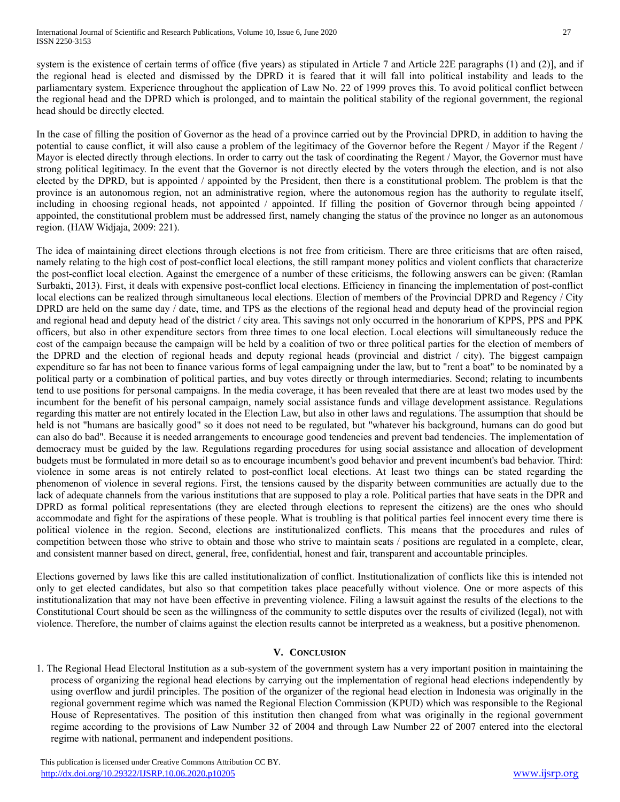system is the existence of certain terms of office (five years) as stipulated in Article 7 and Article 22E paragraphs (1) and (2)], and if the regional head is elected and dismissed by the DPRD it is feared that it will fall into political instability and leads to the parliamentary system. Experience throughout the application of Law No. 22 of 1999 proves this. To avoid political conflict between the regional head and the DPRD which is prolonged, and to maintain the political stability of the regional government, the regional head should be directly elected.

In the case of filling the position of Governor as the head of a province carried out by the Provincial DPRD, in addition to having the potential to cause conflict, it will also cause a problem of the legitimacy of the Governor before the Regent / Mayor if the Regent / Mayor is elected directly through elections. In order to carry out the task of coordinating the Regent / Mayor, the Governor must have strong political legitimacy. In the event that the Governor is not directly elected by the voters through the election, and is not also elected by the DPRD, but is appointed / appointed by the President, then there is a constitutional problem. The problem is that the province is an autonomous region, not an administrative region, where the autonomous region has the authority to regulate itself, including in choosing regional heads, not appointed / appointed. If filling the position of Governor through being appointed / appointed, the constitutional problem must be addressed first, namely changing the status of the province no longer as an autonomous region. (HAW Widjaja, 2009: 221).

The idea of maintaining direct elections through elections is not free from criticism. There are three criticisms that are often raised, namely relating to the high cost of post-conflict local elections, the still rampant money politics and violent conflicts that characterize the post-conflict local election. Against the emergence of a number of these criticisms, the following answers can be given: (Ramlan Surbakti, 2013). First, it deals with expensive post-conflict local elections. Efficiency in financing the implementation of post-conflict local elections can be realized through simultaneous local elections. Election of members of the Provincial DPRD and Regency / City DPRD are held on the same day / date, time, and TPS as the elections of the regional head and deputy head of the provincial region and regional head and deputy head of the district / city area. This savings not only occurred in the honorarium of KPPS, PPS and PPK officers, but also in other expenditure sectors from three times to one local election. Local elections will simultaneously reduce the cost of the campaign because the campaign will be held by a coalition of two or three political parties for the election of members of the DPRD and the election of regional heads and deputy regional heads (provincial and district / city). The biggest campaign expenditure so far has not been to finance various forms of legal campaigning under the law, but to "rent a boat" to be nominated by a political party or a combination of political parties, and buy votes directly or through intermediaries. Second; relating to incumbents tend to use positions for personal campaigns. In the media coverage, it has been revealed that there are at least two modes used by the incumbent for the benefit of his personal campaign, namely social assistance funds and village development assistance. Regulations regarding this matter are not entirely located in the Election Law, but also in other laws and regulations. The assumption that should be held is not "humans are basically good" so it does not need to be regulated, but "whatever his background, humans can do good but can also do bad". Because it is needed arrangements to encourage good tendencies and prevent bad tendencies. The implementation of democracy must be guided by the law. Regulations regarding procedures for using social assistance and allocation of development budgets must be formulated in more detail so as to encourage incumbent's good behavior and prevent incumbent's bad behavior. Third: violence in some areas is not entirely related to post-conflict local elections. At least two things can be stated regarding the phenomenon of violence in several regions. First, the tensions caused by the disparity between communities are actually due to the lack of adequate channels from the various institutions that are supposed to play a role. Political parties that have seats in the DPR and DPRD as formal political representations (they are elected through elections to represent the citizens) are the ones who should accommodate and fight for the aspirations of these people. What is troubling is that political parties feel innocent every time there is political violence in the region. Second, elections are institutionalized conflicts. This means that the procedures and rules of competition between those who strive to obtain and those who strive to maintain seats / positions are regulated in a complete, clear, and consistent manner based on direct, general, free, confidential, honest and fair, transparent and accountable principles.

Elections governed by laws like this are called institutionalization of conflict. Institutionalization of conflicts like this is intended not only to get elected candidates, but also so that competition takes place peacefully without violence. One or more aspects of this institutionalization that may not have been effective in preventing violence. Filing a lawsuit against the results of the elections to the Constitutional Court should be seen as the willingness of the community to settle disputes over the results of civilized (legal), not with violence. Therefore, the number of claims against the election results cannot be interpreted as a weakness, but a positive phenomenon.

# **V. CONCLUSION**

1. The Regional Head Electoral Institution as a sub-system of the government system has a very important position in maintaining the process of organizing the regional head elections by carrying out the implementation of regional head elections independently by using overflow and jurdil principles. The position of the organizer of the regional head election in Indonesia was originally in the regional government regime which was named the Regional Election Commission (KPUD) which was responsible to the Regional House of Representatives. The position of this institution then changed from what was originally in the regional government regime according to the provisions of Law Number 32 of 2004 and through Law Number 22 of 2007 entered into the electoral regime with national, permanent and independent positions.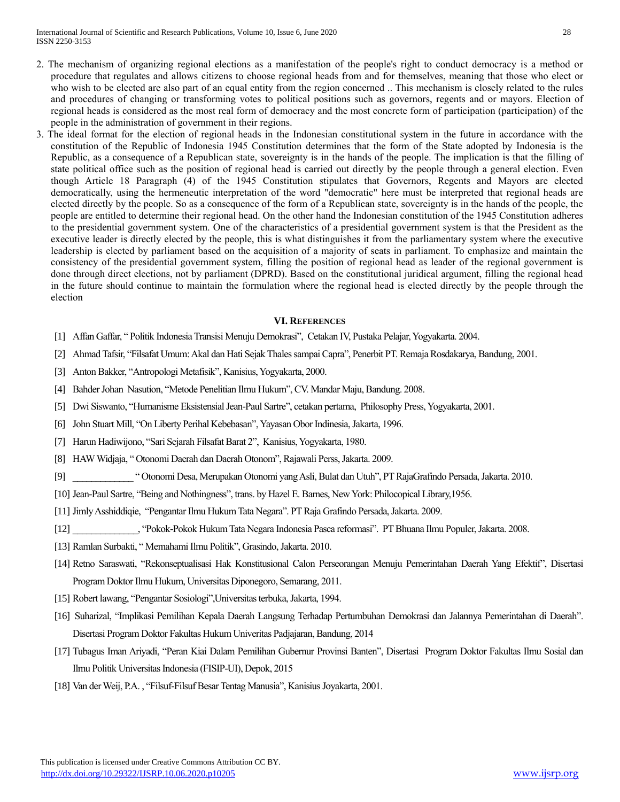- 2. The mechanism of organizing regional elections as a manifestation of the people's right to conduct democracy is a method or procedure that regulates and allows citizens to choose regional heads from and for themselves, meaning that those who elect or who wish to be elected are also part of an equal entity from the region concerned .. This mechanism is closely related to the rules and procedures of changing or transforming votes to political positions such as governors, regents and or mayors. Election of regional heads is considered as the most real form of democracy and the most concrete form of participation (participation) of the people in the administration of government in their regions.
- 3. The ideal format for the election of regional heads in the Indonesian constitutional system in the future in accordance with the constitution of the Republic of Indonesia 1945 Constitution determines that the form of the State adopted by Indonesia is the Republic, as a consequence of a Republican state, sovereignty is in the hands of the people. The implication is that the filling of state political office such as the position of regional head is carried out directly by the people through a general election. Even though Article 18 Paragraph (4) of the 1945 Constitution stipulates that Governors, Regents and Mayors are elected democratically, using the hermeneutic interpretation of the word "democratic" here must be interpreted that regional heads are elected directly by the people. So as a consequence of the form of a Republican state, sovereignty is in the hands of the people, the people are entitled to determine their regional head. On the other hand the Indonesian constitution of the 1945 Constitution adheres to the presidential government system. One of the characteristics of a presidential government system is that the President as the executive leader is directly elected by the people, this is what distinguishes it from the parliamentary system where the executive leadership is elected by parliament based on the acquisition of a majority of seats in parliament. To emphasize and maintain the consistency of the presidential government system, filling the position of regional head as leader of the regional government is done through direct elections, not by parliament (DPRD). Based on the constitutional juridical argument, filling the regional head in the future should continue to maintain the formulation where the regional head is elected directly by the people through the election

#### **VI. REFERENCES**

- [1] Affan Gaffar, " Politik Indonesia Transisi Menuju Demokrasi", Cetakan IV, Pustaka Pelajar, Yogyakarta. 2004.
- [2] Ahmad Tafsir, "Filsafat Umum: Akal dan Hati Sejak Thales sampai Capra", Penerbit PT. Remaja Rosdakarya, Bandung, 2001.
- [3] Anton Bakker, "Antropologi Metafisik", Kanisius, Yogyakarta, 2000.
- [4] Bahder Johan Nasution, "Metode Penelitian Ilmu Hukum", CV. Mandar Maju, Bandung. 2008.
- [5] Dwi Siswanto, "Humanisme Eksistensial Jean-Paul Sartre", cetakan pertama, Philosophy Press, Yogyakarta, 2001.
- [6] John Stuart Mill, "On Liberty Perihal Kebebasan", Yayasan Obor Indinesia, Jakarta, 1996.
- [7] Harun Hadiwijono, "Sari Sejarah Filsafat Barat 2", Kanisius, Yogyakarta, 1980.
- [8] HAW Widjaja, " Otonomi Daerah dan Daerah Otonom", Rajawali Perss, Jakarta. 2009.
- [9] \_\_\_\_\_\_\_\_\_\_\_\_\_ " Otonomi Desa, Merupakan Otonomi yang Asli, Bulat dan Utuh", PT RajaGrafindo Persada, Jakarta. 2010.
- [10] Jean-Paul Sartre, "Being and Nothingness", trans. by Hazel E. Barnes, New York: Philocopical Library,1956.
- [11] Jimly Asshiddiqie, "Pengantar Ilmu Hukum Tata Negara". PT Raja Grafindo Persada, Jakarta. 2009.
- [12] \_\_\_\_\_\_\_\_\_\_\_\_\_\_, "Pokok-Pokok Hukum Tata Negara Indonesia Pasca reformasi". PT Bhuana Ilmu Populer, Jakarta. 2008.
- [13] Ramlan Surbakti, " Memahami Ilmu Politik", Grasindo, Jakarta. 2010.
- [14] Retno Saraswati, "Rekonseptualisasi Hak Konstitusional Calon Perseorangan Menuju Pemerintahan Daerah Yang Efektif", Disertasi Program Doktor Ilmu Hukum, Universitas Diponegoro, Semarang, 2011.
- [15] Robert lawang, "Pengantar Sosiologi",Universitas terbuka, Jakarta, 1994.
- [16] Suharizal, "Implikasi Pemilihan Kepala Daerah Langsung Terhadap Pertumbuhan Demokrasi dan Jalannya Pemerintahan di Daerah". Disertasi Program Doktor Fakultas Hukum Univeritas Padjajaran, Bandung, 2014
- [17] Tubagus Iman Ariyadi, "Peran Kiai Dalam Pemilihan Gubernur Provinsi Banten", Disertasi Program Doktor Fakultas Ilmu Sosial dan Ilmu Politik Universitas Indonesia (FISIP-UI), Depok, 2015
- [18] Van der Weij, P.A. , "Filsuf-Filsuf Besar Tentag Manusia", Kanisius Joyakarta, 2001.